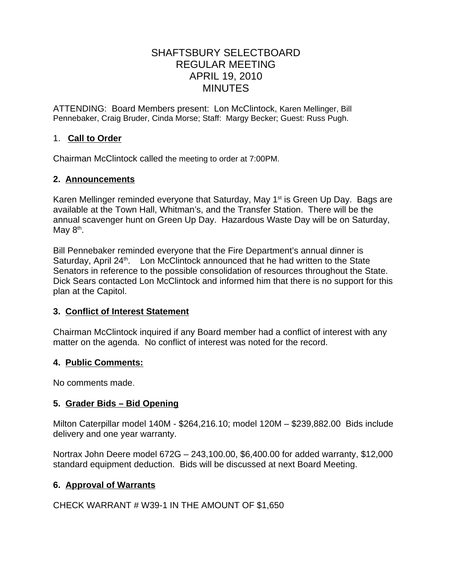# SHAFTSBURY SELECTBOARD REGULAR MEETING APRIL 19, 2010 MINUTES

ATTENDING: Board Members present: Lon McClintock, Karen Mellinger, Bill Pennebaker, Craig Bruder, Cinda Morse; Staff: Margy Becker; Guest: Russ Pugh.

# 1. **Call to Order**

Chairman McClintock called the meeting to order at 7:00PM.

# **2. Announcements**

Karen Mellinger reminded everyone that Saturday, May 1<sup>st</sup> is Green Up Day. Bags are available at the Town Hall, Whitman's, and the Transfer Station. There will be the annual scavenger hunt on Green Up Day. Hazardous Waste Day will be on Saturday, May  $8<sup>th</sup>$ .

Bill Pennebaker reminded everyone that the Fire Department's annual dinner is Saturday, April 24<sup>th</sup>. Lon McClintock announced that he had written to the State Senators in reference to the possible consolidation of resources throughout the State. Dick Sears contacted Lon McClintock and informed him that there is no support for this plan at the Capitol.

# **3. Conflict of Interest Statement**

Chairman McClintock inquired if any Board member had a conflict of interest with any matter on the agenda. No conflict of interest was noted for the record.

# **4. Public Comments:**

No comments made.

# **5. Grader Bids – Bid Opening**

Milton Caterpillar model 140M - \$264,216.10; model 120M – \$239,882.00 Bids include delivery and one year warranty.

Nortrax John Deere model 672G – 243,100.00, \$6,400.00 for added warranty, \$12,000 standard equipment deduction. Bids will be discussed at next Board Meeting.

# **6. Approval of Warrants**

CHECK WARRANT # W39-1 IN THE AMOUNT OF \$1,650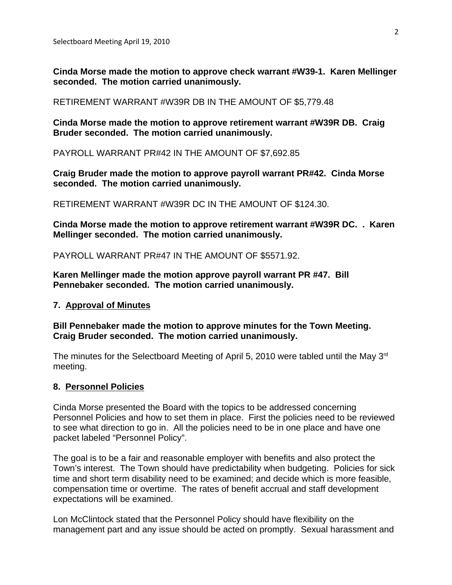**Cinda Morse made the motion to approve check warrant #W39-1. Karen Mellinger seconded. The motion carried unanimously.**

RETIREMENT WARRANT #W39R DB IN THE AMOUNT OF \$5,779.48

**Cinda Morse made the motion to approve retirement warrant #W39R DB. Craig Bruder seconded. The motion carried unanimously.**

PAYROLL WARRANT PR#42 IN THE AMOUNT OF \$7,692.85

**Craig Bruder made the motion to approve payroll warrant PR#42. Cinda Morse seconded. The motion carried unanimously.**

RETIREMENT WARRANT #W39R DC IN THE AMOUNT OF \$124.30.

**Cinda Morse made the motion to approve retirement warrant #W39R DC. . Karen Mellinger seconded. The motion carried unanimously.**

PAYROLL WARRANT PR#47 IN THE AMOUNT OF \$5571.92.

**Karen Mellinger made the motion approve payroll warrant PR #47. Bill Pennebaker seconded. The motion carried unanimously.**

#### **7. Approval of Minutes**

**Bill Pennebaker made the motion to approve minutes for the Town Meeting. Craig Bruder seconded. The motion carried unanimously.**

The minutes for the Selectboard Meeting of April 5, 2010 were tabled until the May 3rd meeting.

### **8. Personnel Policies**

Cinda Morse presented the Board with the topics to be addressed concerning Personnel Policies and how to set them in place. First the policies need to be reviewed to see what direction to go in. All the policies need to be in one place and have one packet labeled "Personnel Policy".

The goal is to be a fair and reasonable employer with benefits and also protect the Town's interest. The Town should have predictability when budgeting. Policies for sick time and short term disability need to be examined; and decide which is more feasible, compensation time or overtime. The rates of benefit accrual and staff development expectations will be examined.

Lon McClintock stated that the Personnel Policy should have flexibility on the management part and any issue should be acted on promptly. Sexual harassment and